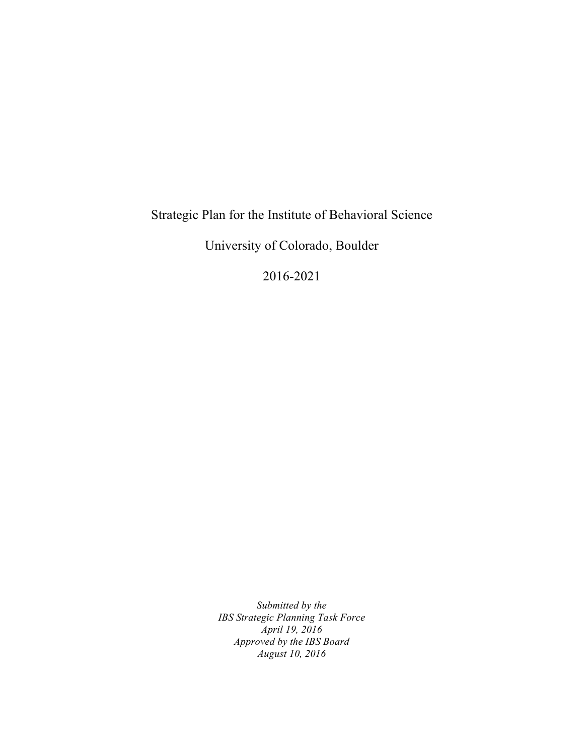# Strategic Plan for the Institute of Behavioral Science

University of Colorado, Boulder

2016-2021

*Submitted by the IBS Strategic Planning Task Force April 19, 2016 Approved by the IBS Board August 10, 2016*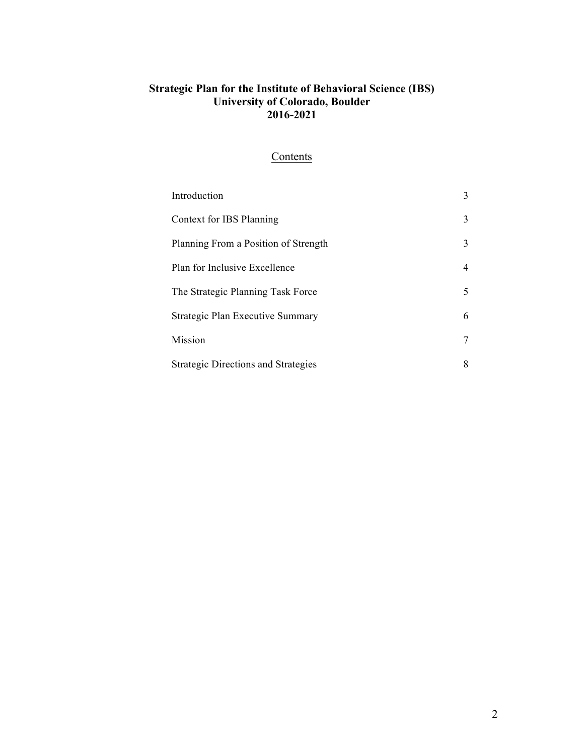## **Contents**

| Introduction                               | 3  |
|--------------------------------------------|----|
| Context for IBS Planning                   | 3  |
| Planning From a Position of Strength       | 3  |
| Plan for Inclusive Excellence              | 4  |
| The Strategic Planning Task Force          | 5. |
| Strategic Plan Executive Summary           | 6  |
| Mission                                    |    |
| <b>Strategic Directions and Strategies</b> | 8  |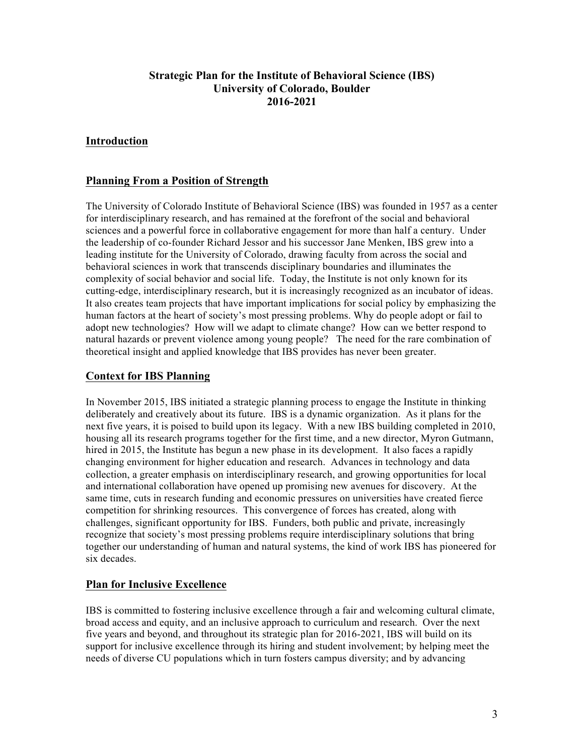### **Introduction**

### **Planning From a Position of Strength**

The University of Colorado Institute of Behavioral Science (IBS) was founded in 1957 as a center for interdisciplinary research, and has remained at the forefront of the social and behavioral sciences and a powerful force in collaborative engagement for more than half a century. Under the leadership of co-founder Richard Jessor and his successor Jane Menken, IBS grew into a leading institute for the University of Colorado, drawing faculty from across the social and behavioral sciences in work that transcends disciplinary boundaries and illuminates the complexity of social behavior and social life. Today, the Institute is not only known for its cutting-edge, interdisciplinary research, but it is increasingly recognized as an incubator of ideas. It also creates team projects that have important implications for social policy by emphasizing the human factors at the heart of society's most pressing problems. Why do people adopt or fail to adopt new technologies? How will we adapt to climate change? How can we better respond to natural hazards or prevent violence among young people? The need for the rare combination of theoretical insight and applied knowledge that IBS provides has never been greater.

### **Context for IBS Planning**

In November 2015, IBS initiated a strategic planning process to engage the Institute in thinking deliberately and creatively about its future. IBS is a dynamic organization. As it plans for the next five years, it is poised to build upon its legacy. With a new IBS building completed in 2010, housing all its research programs together for the first time, and a new director, Myron Gutmann, hired in 2015, the Institute has begun a new phase in its development. It also faces a rapidly changing environment for higher education and research. Advances in technology and data collection, a greater emphasis on interdisciplinary research, and growing opportunities for local and international collaboration have opened up promising new avenues for discovery. At the same time, cuts in research funding and economic pressures on universities have created fierce competition for shrinking resources. This convergence of forces has created, along with challenges, significant opportunity for IBS. Funders, both public and private, increasingly recognize that society's most pressing problems require interdisciplinary solutions that bring together our understanding of human and natural systems, the kind of work IBS has pioneered for six decades.

### **Plan for Inclusive Excellence**

IBS is committed to fostering inclusive excellence through a fair and welcoming cultural climate, broad access and equity, and an inclusive approach to curriculum and research.Over the next five years and beyond, and throughout its strategic plan for 2016-2021, IBS will build on its support for inclusive excellence through its hiring and student involvement; by helping meet the needs of diverse CU populations which in turn fosters campus diversity; and by advancing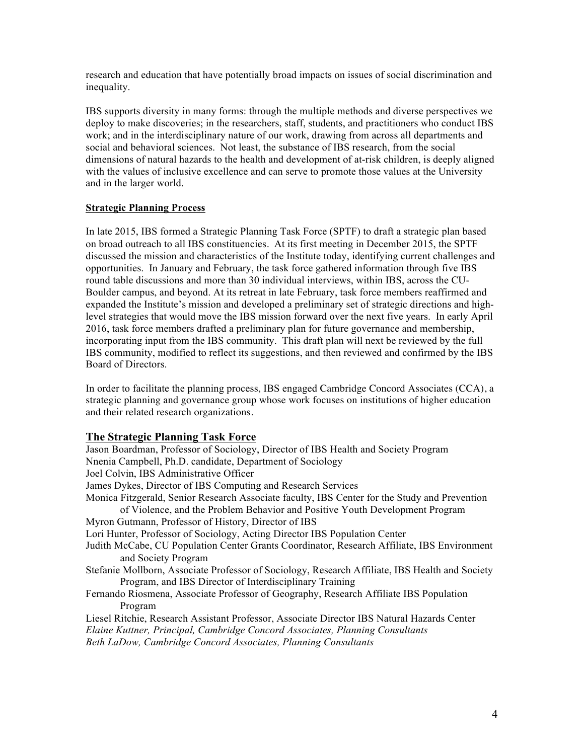research and education that have potentially broad impacts on issues of social discrimination and inequality.

IBS supports diversity in many forms: through the multiple methods and diverse perspectives we deploy to make discoveries; in the researchers, staff, students, and practitioners who conduct IBS work; and in the interdisciplinary nature of our work, drawing from across all departments and social and behavioral sciences. Not least, the substance of IBS research, from the social dimensions of natural hazards to the health and development of at-risk children, is deeply aligned with the values of inclusive excellence and can serve to promote those values at the University and in the larger world.

### **Strategic Planning Process**

In late 2015, IBS formed a Strategic Planning Task Force (SPTF) to draft a strategic plan based on broad outreach to all IBS constituencies. At its first meeting in December 2015, the SPTF discussed the mission and characteristics of the Institute today, identifying current challenges and opportunities. In January and February, the task force gathered information through five IBS round table discussions and more than 30 individual interviews, within IBS, across the CU-Boulder campus, and beyond. At its retreat in late February, task force members reaffirmed and expanded the Institute's mission and developed a preliminary set of strategic directions and highlevel strategies that would move the IBS mission forward over the next five years. In early April 2016, task force members drafted a preliminary plan for future governance and membership, incorporating input from the IBS community. This draft plan will next be reviewed by the full IBS community, modified to reflect its suggestions, and then reviewed and confirmed by the IBS Board of Directors.

In order to facilitate the planning process, IBS engaged Cambridge Concord Associates (CCA), a strategic planning and governance group whose work focuses on institutions of higher education and their related research organizations.

### **The Strategic Planning Task Force**

Jason Boardman, Professor of Sociology, Director of IBS Health and Society Program Nnenia Campbell, Ph.D. candidate, Department of Sociology Joel Colvin, IBS Administrative Officer James Dykes, Director of IBS Computing and Research Services Monica Fitzgerald, Senior Research Associate faculty, IBS Center for the Study and Prevention of Violence, and the Problem Behavior and Positive Youth Development Program Myron Gutmann, Professor of History, Director of IBS Lori Hunter, Professor of Sociology, Acting Director IBS Population Center Judith McCabe, CU Population Center Grants Coordinator, Research Affiliate, IBS Environment and Society Program Stefanie Mollborn, Associate Professor of Sociology, Research Affiliate, IBS Health and Society Program, and IBS Director of Interdisciplinary Training Fernando Riosmena, Associate Professor of Geography, Research Affiliate IBS Population Program Liesel Ritchie, Research Assistant Professor, Associate Director IBS Natural Hazards Center *Elaine Kuttner, Principal, Cambridge Concord Associates, Planning Consultants Beth LaDow, Cambridge Concord Associates, Planning Consultants*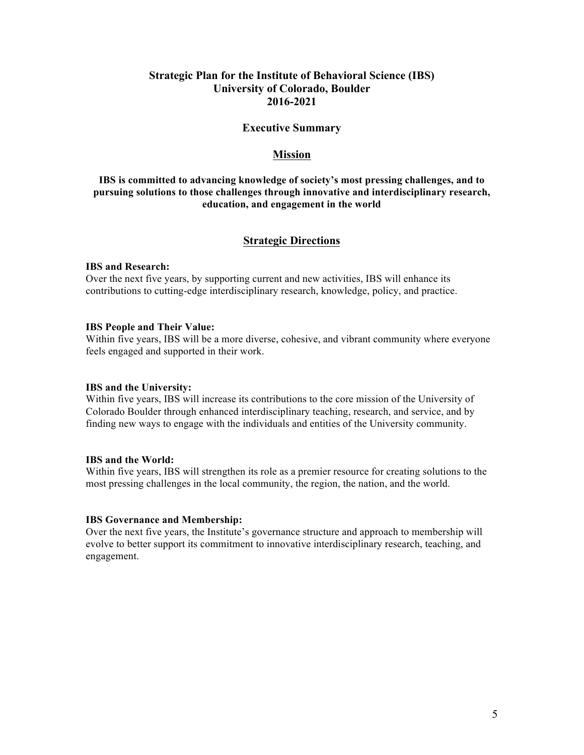#### **Executive Summary**

### **Mission**

### **IBS is committed to advancing knowledge of society's most pressing challenges, and to pursuing solutions to those challenges through innovative and interdisciplinary research, education, and engagement in the world**

### **Strategic Directions**

#### **IBS and Research:**

Over the next five years, by supporting current and new activities, IBS will enhance its contributions to cutting-edge interdisciplinary research, knowledge, policy, and practice.

#### **IBS People and Their Value:**

Within five years, IBS will be a more diverse, cohesive, and vibrant community where everyone feels engaged and supported in their work.

#### **IBS and the University:**

Within five years, IBS will increase its contributions to the core mission of the University of Colorado Boulder through enhanced interdisciplinary teaching, research, and service, and by finding new ways to engage with the individuals and entities of the University community.

#### **IBS and the World:**

Within five years, IBS will strengthen its role as a premier resource for creating solutions to the most pressing challenges in the local community, the region, the nation, and the world.

#### **IBS Governance and Membership:**

Over the next five years, the Institute's governance structure and approach to membership will evolve to better support its commitment to innovative interdisciplinary research, teaching, and engagement.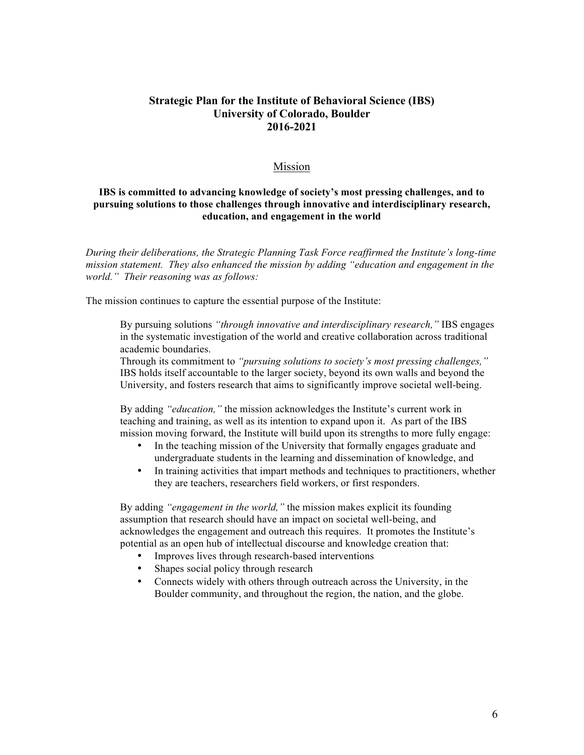### Mission

### **IBS is committed to advancing knowledge of society's most pressing challenges, and to pursuing solutions to those challenges through innovative and interdisciplinary research, education, and engagement in the world**

*During their deliberations, the Strategic Planning Task Force reaffirmed the Institute's long-time mission statement. They also enhanced the mission by adding "education and engagement in the world." Their reasoning was as follows:*

The mission continues to capture the essential purpose of the Institute:

By pursuing solutions *"through innovative and interdisciplinary research,"* IBS engages in the systematic investigation of the world and creative collaboration across traditional academic boundaries.

Through its commitment to *"pursuing solutions to society's most pressing challenges,"*  IBS holds itself accountable to the larger society, beyond its own walls and beyond the University, and fosters research that aims to significantly improve societal well-being.

By adding *"education,"* the mission acknowledges the Institute's current work in teaching and training, as well as its intention to expand upon it. As part of the IBS mission moving forward, the Institute will build upon its strengths to more fully engage:

- In the teaching mission of the University that formally engages graduate and undergraduate students in the learning and dissemination of knowledge, and
- In training activities that impart methods and techniques to practitioners, whether they are teachers, researchers field workers, or first responders.

By adding *"engagement in the world,"* the mission makes explicit its founding assumption that research should have an impact on societal well-being, and acknowledges the engagement and outreach this requires. It promotes the Institute's potential as an open hub of intellectual discourse and knowledge creation that:

- Improves lives through research-based interventions
- Shapes social policy through research
- Connects widely with others through outreach across the University, in the Boulder community, and throughout the region, the nation, and the globe.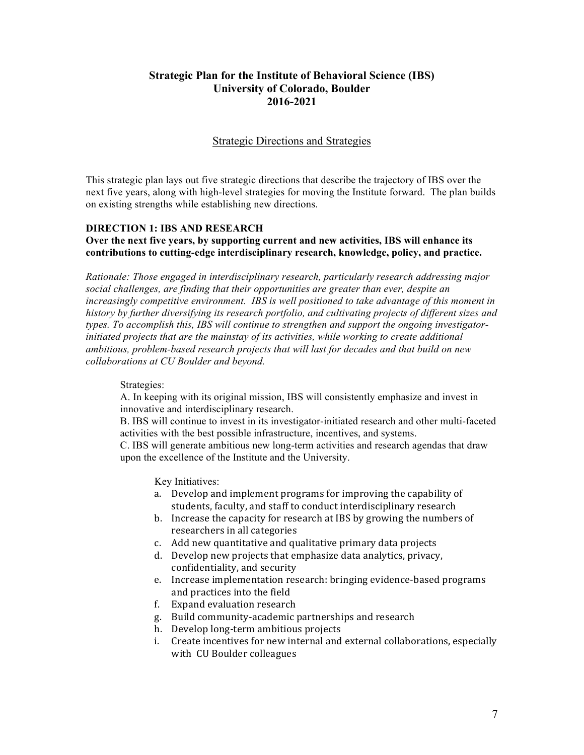### Strategic Directions and Strategies

This strategic plan lays out five strategic directions that describe the trajectory of IBS over the next five years, along with high-level strategies for moving the Institute forward. The plan builds on existing strengths while establishing new directions.

### **DIRECTION 1: IBS AND RESEARCH**

### **Over the next five years, by supporting current and new activities, IBS will enhance its contributions to cutting-edge interdisciplinary research, knowledge, policy, and practice.**

*Rationale: Those engaged in interdisciplinary research, particularly research addressing major social challenges, are finding that their opportunities are greater than ever, despite an increasingly competitive environment. IBS is well positioned to take advantage of this moment in history by further diversifying its research portfolio, and cultivating projects of different sizes and types. To accomplish this, IBS will continue to strengthen and support the ongoing investigatorinitiated projects that are the mainstay of its activities, while working to create additional ambitious, problem-based research projects that will last for decades and that build on new collaborations at CU Boulder and beyond.* 

### Strategies:

A. In keeping with its original mission, IBS will consistently emphasize and invest in innovative and interdisciplinary research.

B. IBS will continue to invest in its investigator-initiated research and other multi-faceted activities with the best possible infrastructure, incentives, and systems.

C. IBS will generate ambitious new long-term activities and research agendas that draw upon the excellence of the Institute and the University.

Key Initiatives:

- a. Develop and implement programs for improving the capability of students, faculty, and staff to conduct interdisciplinary research
- b. Increase the capacity for research at IBS by growing the numbers of researchers in all categories
- c. Add new quantitative and qualitative primary data projects
- d. Develop new projects that emphasize data analytics, privacy, confidentiality, and security
- e. Increase implementation research: bringing evidence-based programs and practices into the field
- f. Expand evaluation research
- g. Build community-academic partnerships and research
- h. Develop long-term ambitious projects
- i. Create incentives for new internal and external collaborations, especially with CU Boulder colleagues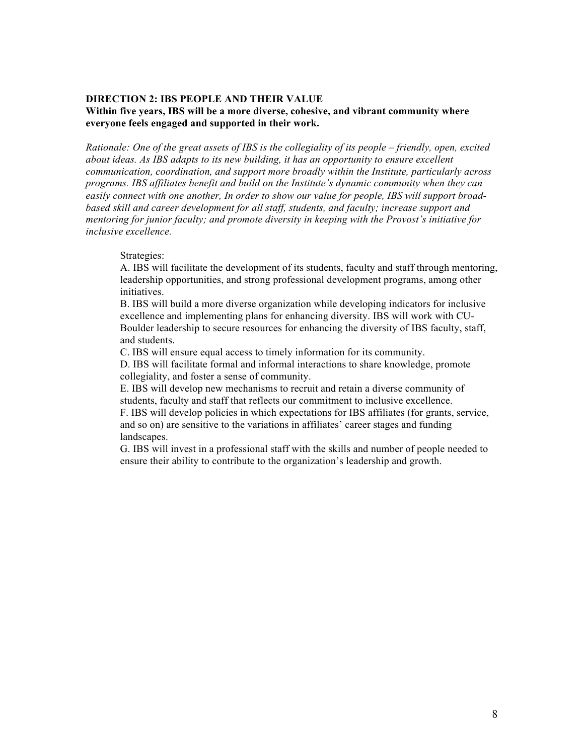### **DIRECTION 2: IBS PEOPLE AND THEIR VALUE Within five years, IBS will be a more diverse, cohesive, and vibrant community where everyone feels engaged and supported in their work.**

*Rationale: One of the great assets of IBS is the collegiality of its people – friendly, open, excited about ideas. As IBS adapts to its new building, it has an opportunity to ensure excellent communication, coordination, and support more broadly within the Institute, particularly across programs. IBS affiliates benefit and build on the Institute's dynamic community when they can easily connect with one another, In order to show our value for people, IBS will support broadbased skill and career development for all staff, students, and faculty; increase support and mentoring for junior faculty; and promote diversity in keeping with the Provost's initiative for inclusive excellence.*

#### Strategies:

A. IBS will facilitate the development of its students, faculty and staff through mentoring, leadership opportunities, and strong professional development programs, among other initiatives.

B. IBS will build a more diverse organization while developing indicators for inclusive excellence and implementing plans for enhancing diversity. IBS will work with CU-Boulder leadership to secure resources for enhancing the diversity of IBS faculty, staff, and students.

C. IBS will ensure equal access to timely information for its community.

D. IBS will facilitate formal and informal interactions to share knowledge, promote collegiality, and foster a sense of community.

E. IBS will develop new mechanisms to recruit and retain a diverse community of students, faculty and staff that reflects our commitment to inclusive excellence.

F. IBS will develop policies in which expectations for IBS affiliates (for grants, service, and so on) are sensitive to the variations in affiliates' career stages and funding landscapes.

G. IBS will invest in a professional staff with the skills and number of people needed to ensure their ability to contribute to the organization's leadership and growth.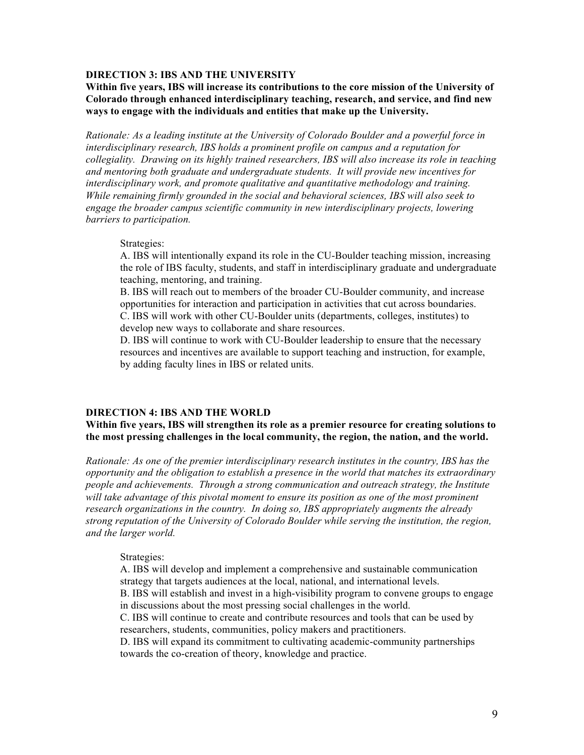### **DIRECTION 3: IBS AND THE UNIVERSITY**

**Within five years, IBS will increase its contributions to the core mission of the University of Colorado through enhanced interdisciplinary teaching, research, and service, and find new ways to engage with the individuals and entities that make up the University.**

*Rationale: As a leading institute at the University of Colorado Boulder and a powerful force in interdisciplinary research, IBS holds a prominent profile on campus and a reputation for collegiality. Drawing on its highly trained researchers, IBS will also increase its role in teaching and mentoring both graduate and undergraduate students. It will provide new incentives for interdisciplinary work, and promote qualitative and quantitative methodology and training. While remaining firmly grounded in the social and behavioral sciences, IBS will also seek to engage the broader campus scientific community in new interdisciplinary projects, lowering barriers to participation.* 

#### Strategies:

A. IBS will intentionally expand its role in the CU-Boulder teaching mission, increasing the role of IBS faculty, students, and staff in interdisciplinary graduate and undergraduate teaching, mentoring, and training.

B. IBS will reach out to members of the broader CU-Boulder community, and increase opportunities for interaction and participation in activities that cut across boundaries. C. IBS will work with other CU-Boulder units (departments, colleges, institutes) to develop new ways to collaborate and share resources.

D. IBS will continue to work with CU-Boulder leadership to ensure that the necessary resources and incentives are available to support teaching and instruction, for example, by adding faculty lines in IBS or related units.

#### **DIRECTION 4: IBS AND THE WORLD**

**Within five years, IBS will strengthen its role as a premier resource for creating solutions to the most pressing challenges in the local community, the region, the nation, and the world.** 

*Rationale: As one of the premier interdisciplinary research institutes in the country, IBS has the opportunity and the obligation to establish a presence in the world that matches its extraordinary people and achievements. Through a strong communication and outreach strategy, the Institute will take advantage of this pivotal moment to ensure its position as one of the most prominent research organizations in the country. In doing so, IBS appropriately augments the already strong reputation of the University of Colorado Boulder while serving the institution, the region, and the larger world.*

#### Strategies:

A. IBS will develop and implement a comprehensive and sustainable communication strategy that targets audiences at the local, national, and international levels.

B. IBS will establish and invest in a high-visibility program to convene groups to engage in discussions about the most pressing social challenges in the world.

C. IBS will continue to create and contribute resources and tools that can be used by researchers, students, communities, policy makers and practitioners.

D. IBS will expand its commitment to cultivating academic-community partnerships towards the co-creation of theory, knowledge and practice.